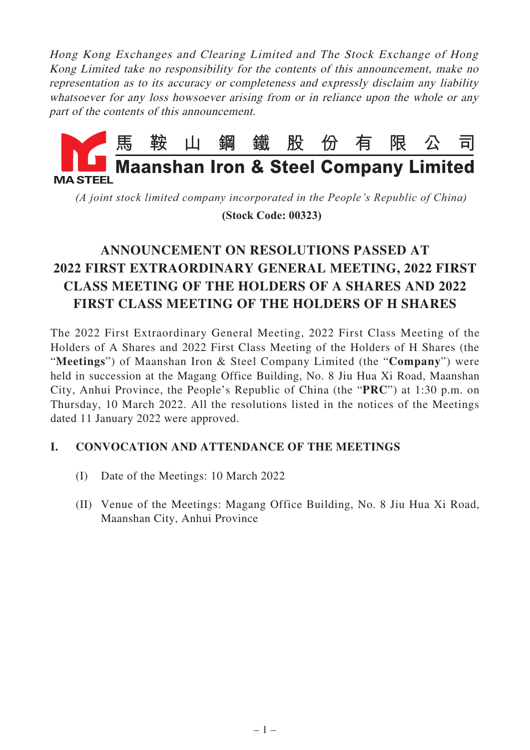Hong Kong Exchanges and Clearing Limited and The Stock Exchange of Hong Kong Limited take no responsibility for the contents of this announcement, make no representation as to its accuracy or completeness and expressly disclaim any liability whatsoever for any loss howsoever arising from or in reliance upon the whole or any part of the contents of this announcement.



*(A joint stock limited company incorporated in the People's Republic of China)*

 **(Stock Code: 00323)**

# **ANNOUNCEMENT ON RESOLUTIONS PASSED AT 2022 FIRST EXTRAORDINARY GENERAL MEETING, 2022 FIRST CLASS MEETING OF THE HOLDERS OF A SHARES AND 2022 FIRST CLASS MEETING OF THE HOLDERS OF H SHARES**

The 2022 First Extraordinary General Meeting, 2022 First Class Meeting of the Holders of A Shares and 2022 First Class Meeting of the Holders of H Shares (the "**Meetings**") of Maanshan Iron & Steel Company Limited (the "**Company**") were held in succession at the Magang Office Building, No. 8 Jiu Hua Xi Road, Maanshan City, Anhui Province, the People's Republic of China (the "**PRC**") at 1:30 p.m. on Thursday, 10 March 2022. All the resolutions listed in the notices of the Meetings dated 11 January 2022 were approved.

#### **I. CONVOCATION AND ATTENDANCE OF THE MEETINGS**

- (I) Date of the Meetings: 10 March 2022
- (II) Venue of the Meetings: Magang Office Building, No. 8 Jiu Hua Xi Road, Maanshan City, Anhui Province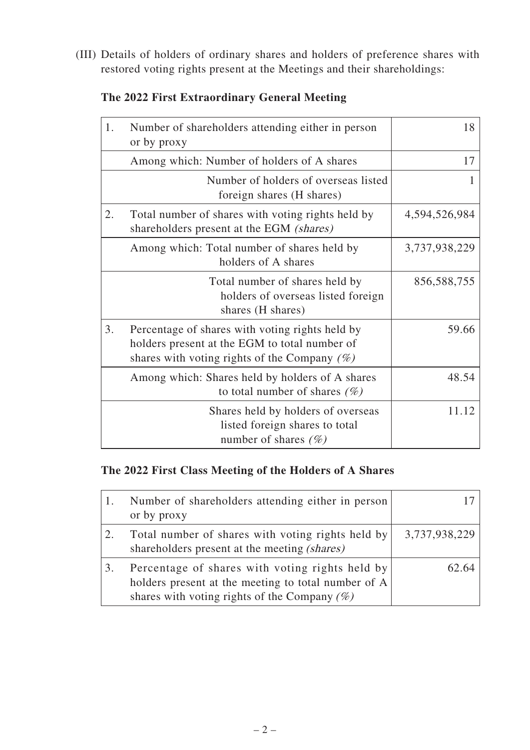(III) Details of holders of ordinary shares and holders of preference shares with restored voting rights present at the Meetings and their shareholdings:

11.12

| 1. | Number of shareholders attending either in person<br>or by proxy                                                                                    | 18            |
|----|-----------------------------------------------------------------------------------------------------------------------------------------------------|---------------|
|    | Among which: Number of holders of A shares                                                                                                          | 17            |
|    | Number of holders of overseas listed<br>foreign shares (H shares)                                                                                   | 1             |
| 2. | Total number of shares with voting rights held by<br>shareholders present at the EGM (shares)                                                       | 4,594,526,984 |
|    | Among which: Total number of shares held by<br>holders of A shares                                                                                  | 3,737,938,229 |
|    | Total number of shares held by<br>holders of overseas listed foreign<br>shares (H shares)                                                           | 856,588,755   |
| 3. | Percentage of shares with voting rights held by<br>holders present at the EGM to total number of<br>shares with voting rights of the Company $(\%)$ | 59.66         |
|    | Among which: Shares held by holders of A shares<br>to total number of shares $(\%)$                                                                 | 48.54         |

# **The 2022 First Extraordinary General Meeting**

#### **The 2022 First Class Meeting of the Holders of A Shares**

| Number of shareholders attending either in person<br>or by proxy                                                                                          |               |
|-----------------------------------------------------------------------------------------------------------------------------------------------------------|---------------|
| Total number of shares with voting rights held by<br>shareholders present at the meeting <i>(shares)</i>                                                  | 3,737,938,229 |
| Percentage of shares with voting rights held by<br>holders present at the meeting to total number of A<br>shares with voting rights of the Company $(\%)$ | 62.64         |

Shares held by holders of overseas listed foreign shares to total

number of shares (%)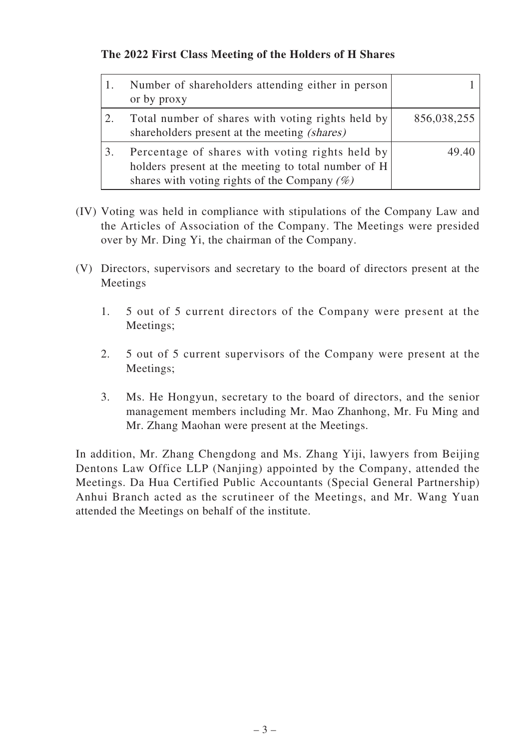### **The 2022 First Class Meeting of the Holders of H Shares**

| Number of shareholders attending either in person<br>or by proxy                                                                                          |             |
|-----------------------------------------------------------------------------------------------------------------------------------------------------------|-------------|
| Total number of shares with voting rights held by<br>shareholders present at the meeting <i>(shares)</i>                                                  | 856,038,255 |
| Percentage of shares with voting rights held by<br>holders present at the meeting to total number of H<br>shares with voting rights of the Company $(\%)$ | 49.40       |

- (IV) Voting was held in compliance with stipulations of the Company Law and the Articles of Association of the Company. The Meetings were presided over by Mr. Ding Yi, the chairman of the Company.
- (V) Directors, supervisors and secretary to the board of directors present at the Meetings
	- 1. 5 out of 5 current directors of the Company were present at the Meetings;
	- 2. 5 out of 5 current supervisors of the Company were present at the Meetings;
	- 3. Ms. He Hongyun, secretary to the board of directors, and the senior management members including Mr. Mao Zhanhong, Mr. Fu Ming and Mr. Zhang Maohan were present at the Meetings.

In addition, Mr. Zhang Chengdong and Ms. Zhang Yiji, lawyers from Beijing Dentons Law Office LLP (Nanjing) appointed by the Company, attended the Meetings. Da Hua Certified Public Accountants (Special General Partnership) Anhui Branch acted as the scrutineer of the Meetings, and Mr. Wang Yuan attended the Meetings on behalf of the institute.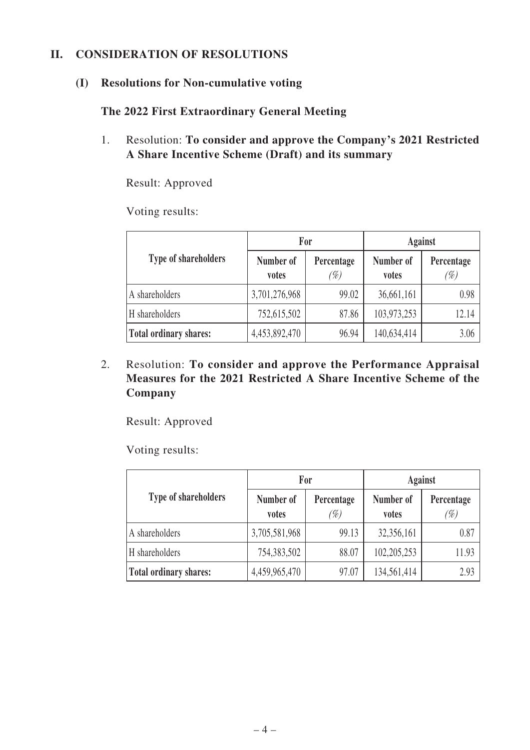#### **II. CONSIDERATION OF RESOLUTIONS**

#### **(I) Resolutions for Non-cumulative voting**

#### **The 2022 First Extraordinary General Meeting**

1. Resolution: **To consider and approve the Company's 2021 Restricted A Share Incentive Scheme (Draft) and its summary**

Result: Approved

Voting results:

|                               |                    | For               | <b>Against</b>     |                   |  |
|-------------------------------|--------------------|-------------------|--------------------|-------------------|--|
| <b>Type of shareholders</b>   | Number of<br>votes | Percentage<br>(%) | Number of<br>votes | Percentage<br>(%) |  |
| A shareholders                | 3,701,276,968      | 99.02             | 36,661,161         | 0.98              |  |
| H shareholders                | 752,615,502        | 87.86             | 103,973,253        | 12.14             |  |
| <b>Total ordinary shares:</b> | 4,453,892,470      | 96.94             | 140,634,414        | 3.06              |  |

2. Resolution: **To consider and approve the Performance Appraisal Measures for the 2021 Restricted A Share Incentive Scheme of the Company**

Result: Approved

|                               | For                |                   | <b>Against</b>     |                   |  |
|-------------------------------|--------------------|-------------------|--------------------|-------------------|--|
| <b>Type of shareholders</b>   | Number of<br>votes | Percentage<br>(%) | Number of<br>votes | Percentage<br>(%) |  |
| A shareholders                | 3,705,581,968      | 99.13             | 32,356,161         | 0.87              |  |
| H shareholders                | 754,383,502        | 88.07             | 102,205,253        | 11.93             |  |
| <b>Total ordinary shares:</b> | 4,459,965,470      | 97.07             | 134,561,414        | 2.93              |  |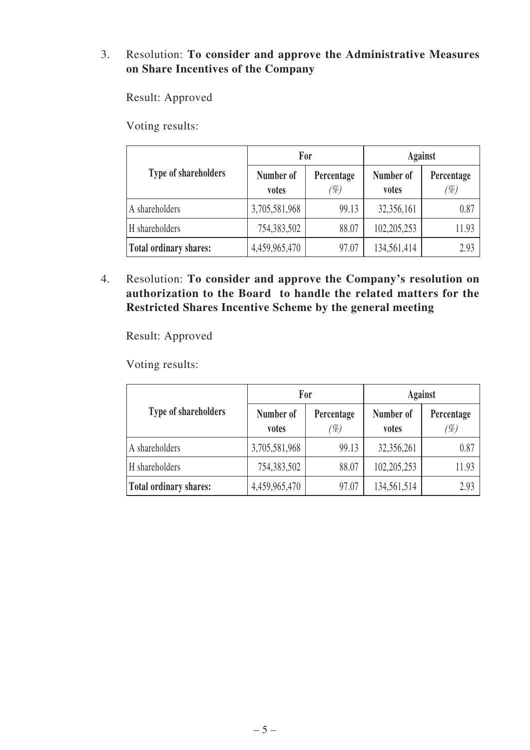#### 3. Resolution: **To consider and approve the Administrative Measures on Share Incentives of the Company**

Result: Approved

Voting results:

|                               |                    | For               | <b>Against</b>     |                   |
|-------------------------------|--------------------|-------------------|--------------------|-------------------|
| Type of shareholders          | Number of<br>votes | Percentage<br>(%) | Number of<br>votes | Percentage<br>(%) |
| A shareholders                | 3,705,581,968      | 99.13             | 32,356,161         | 0.87              |
| H shareholders                | 754,383,502        | 88.07             | 102, 205, 253      | 11.93             |
| <b>Total ordinary shares:</b> | 4,459,965,470      | 97.07             | 134,561,414        | 2.93              |

4. Resolution: **To consider and approve the Company's resolution on authorization to the Board to handle the related matters for the Restricted Shares Incentive Scheme by the general meeting**

Result: Approved

|                               |                    | For               | <b>Against</b>     |                   |  |
|-------------------------------|--------------------|-------------------|--------------------|-------------------|--|
| <b>Type of shareholders</b>   | Number of<br>votes | Percentage<br>(%) | Number of<br>votes | Percentage<br>(%) |  |
| A shareholders                | 3,705,581,968      | 99.13             | 32,356,261         | 0.87              |  |
| H shareholders                | 754,383,502        | 88.07             | 102,205,253        | 11.93             |  |
| <b>Total ordinary shares:</b> | 4,459,965,470      | 97.07             | 134,561,514        | 2.93              |  |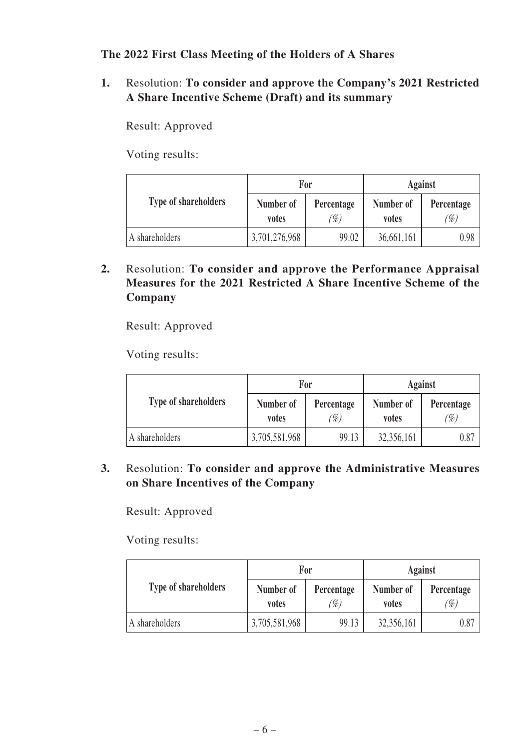**The 2022 First Class Meeting of the Holders of A Shares**

**1.** Resolution: **To consider and approve the Company's 2021 Restricted A Share Incentive Scheme (Draft) and its summary**

Result: Approved

Voting results:

|                             |                    | For               | <b>Against</b>     |                   |
|-----------------------------|--------------------|-------------------|--------------------|-------------------|
| <b>Type of shareholders</b> | Number of<br>votes | Percentage<br>(%) | Number of<br>votes | Percentage<br>(%) |
| A shareholders              | 3,701,276,968      | 99.02             | 36,661,161         | 0.98              |

**2.** Resolution: **To consider and approve the Performance Appraisal Measures for the 2021 Restricted A Share Incentive Scheme of the Company**

Result: Approved

Voting results:

|                             | For                |                  | Against            |                  |  |
|-----------------------------|--------------------|------------------|--------------------|------------------|--|
| <b>Type of shareholders</b> | Number of<br>votes | Percentage<br>%) | Number of<br>votes | Percentage<br>%) |  |
| A shareholders              | 3,705,581,968      | 99.13            | 32,356,161         | 0.87             |  |

# **3.** Resolution: **To consider and approve the Administrative Measures on Share Incentives of the Company**

Result: Approved

|                             |                    | For              | <b>Against</b>     |                   |  |
|-----------------------------|--------------------|------------------|--------------------|-------------------|--|
| <b>Type of shareholders</b> | Number of<br>votes | Percentage<br>%) | Number of<br>votes | Percentage<br>(%) |  |
| A shareholders              | 3,705,581,968      | 99.13            | 32,356,161         | $\rm 0.87$        |  |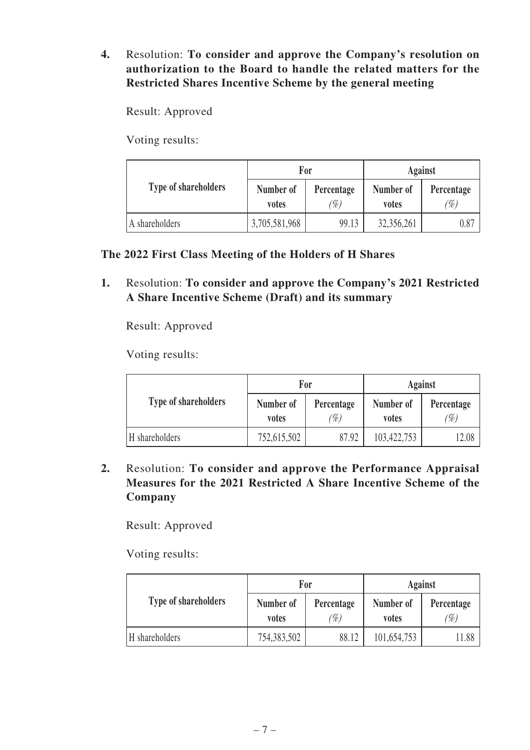# **4.** Resolution: **To consider and approve the Company's resolution on authorization to the Board to handle the related matters for the Restricted Shares Incentive Scheme by the general meeting**

Result: Approved

Voting results:

|                             |                    | For              | <b>Against</b>     |                  |
|-----------------------------|--------------------|------------------|--------------------|------------------|
| <b>Type of shareholders</b> | Number of<br>votes | Percentage<br>%) | Number of<br>votes | Percentage<br>%) |
| A shareholders              | 3,705,581,968      | 99.13            | 32,356,261         | 0.87             |

# **The 2022 First Class Meeting of the Holders of H Shares**

**1.** Resolution: **To consider and approve the Company's 2021 Restricted A Share Incentive Scheme (Draft) and its summary**

Result: Approved

Voting results:

|                             | For                |                  | Against            |                  |  |
|-----------------------------|--------------------|------------------|--------------------|------------------|--|
| <b>Type of shareholders</b> | Number of<br>votes | Percentage<br>%) | Number of<br>votes | Percentage<br>%) |  |
| H shareholders              | 752,615,502        | 87.92            | 103,422,753        | 12.08            |  |

**2.** Resolution: **To consider and approve the Performance Appraisal Measures for the 2021 Restricted A Share Incentive Scheme of the Company**

Result: Approved

|                             |                    | For              | <b>Against</b>     |                  |  |
|-----------------------------|--------------------|------------------|--------------------|------------------|--|
| <b>Type of shareholders</b> | Number of<br>votes | Percentage<br>%) | Number of<br>votes | Percentage<br>%) |  |
| H shareholders              | 754,383,502        | 88.12            | 101,654,753        | 11.88            |  |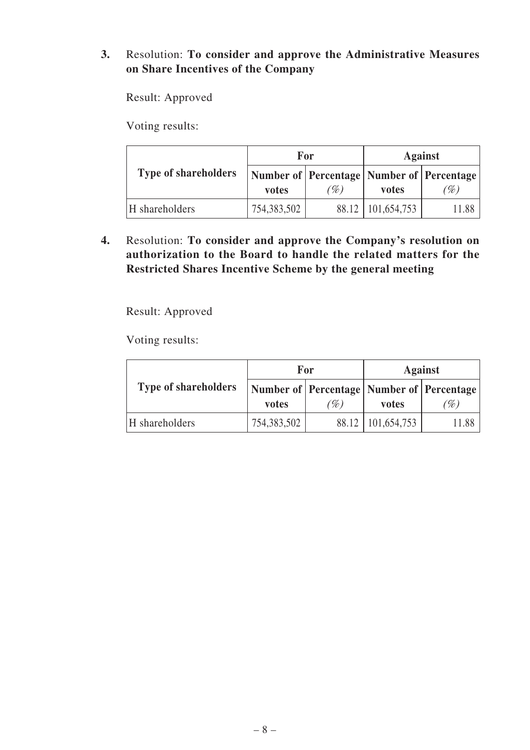#### **3.** Resolution: **To consider and approve the Administrative Measures on Share Incentives of the Company**

Result: Approved

Voting results:

|                             |             | For                                                      | <b>Against</b>      |       |  |
|-----------------------------|-------------|----------------------------------------------------------|---------------------|-------|--|
| <b>Type of shareholders</b> | votes       | Number of   Percentage   Number of   Percentage  <br>(%) | votes               | (%)   |  |
| H shareholders              | 754,383,502 |                                                          | 88.12   101,654,753 | 11.88 |  |

**4.** Resolution: **To consider and approve the Company's resolution on authorization to the Board to handle the related matters for the Restricted Shares Incentive Scheme by the general meeting**

Result: Approved

|                             |             | For | Against                                         |                           |  |
|-----------------------------|-------------|-----|-------------------------------------------------|---------------------------|--|
| <b>Type of shareholders</b> |             |     | Number of   Percentage   Number of   Percentage |                           |  |
|                             | votes       | (%) | votes                                           | $\mathscr{C}_\mathscr{D}$ |  |
| H shareholders              | 754,383,502 |     | 88.12   101,654,753                             | 11.88                     |  |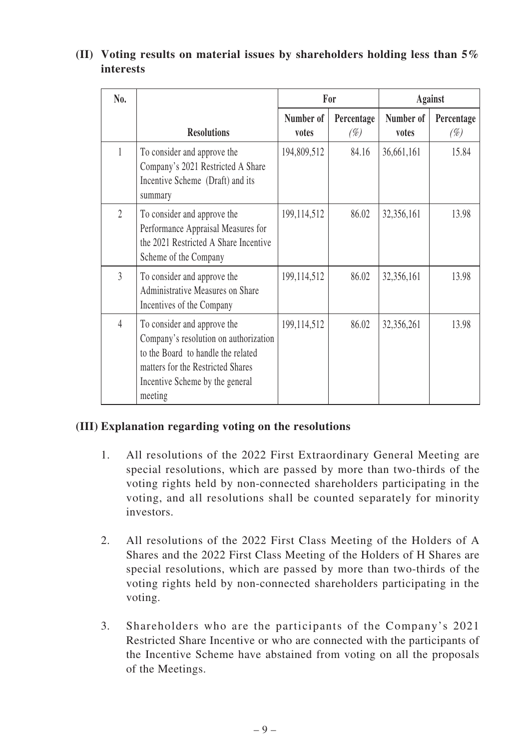#### **No. Resolutions For Against Number of votes Percentage**   $(\%)$ **Number of votes Percentage**  (%) 1 To consider and approve the Company's 2021 Restricted A Share Incentive Scheme (Draft) and its summary 194,809,512 84.16 36.661.161 15.84 2 To consider and approve the Performance Appraisal Measures for 199,114,512 86.02 32,356,161 13.98

# **(II) Voting results on material issues by shareholders holding less than 5% interests**

|                | summary                                                                                                                                                                                       |               |       |            |       |
|----------------|-----------------------------------------------------------------------------------------------------------------------------------------------------------------------------------------------|---------------|-------|------------|-------|
| $\overline{2}$ | To consider and approve the<br>Performance Appraisal Measures for<br>the 2021 Restricted A Share Incentive<br>Scheme of the Company                                                           | 199, 114, 512 | 86.02 | 32,356,161 | 13.98 |
| 3              | To consider and approve the<br>Administrative Measures on Share<br>Incentives of the Company                                                                                                  | 199, 114, 512 | 86.02 | 32,356,161 | 13.98 |
| $\overline{4}$ | To consider and approve the<br>Company's resolution on authorization<br>to the Board to handle the related<br>matters for the Restricted Shares<br>Incentive Scheme by the general<br>meeting | 199, 114, 512 | 86.02 | 32,356,261 | 13.98 |

# **(III) Explanation regarding voting on the resolutions**

- 1. All resolutions of the 2022 First Extraordinary General Meeting are special resolutions, which are passed by more than two-thirds of the voting rights held by non-connected shareholders participating in the voting, and all resolutions shall be counted separately for minority investors.
- 2. All resolutions of the 2022 First Class Meeting of the Holders of A Shares and the 2022 First Class Meeting of the Holders of H Shares are special resolutions, which are passed by more than two-thirds of the voting rights held by non-connected shareholders participating in the voting.
- 3. Shareholders who are the participants of the Company's 2021 Restricted Share Incentive or who are connected with the participants of the Incentive Scheme have abstained from voting on all the proposals of the Meetings.